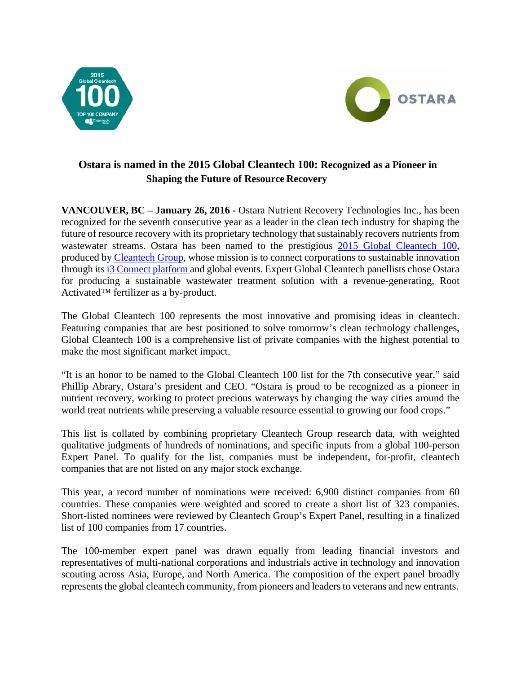



# **Ostara is named in the 2015 Global Cleantech 100: Recognized as a Pioneer in Shaping the Future of Resource Recovery**

**VANCOUVER, BC – January 26, 2016 -** Ostara Nutrient Recovery Technologies Inc., has been recognized for the seventh consecutive year as a leader in the clean tech industry for shaping the future of resource recovery with its proprietary technology that sustainably recovers nutrients from wastewater streams. Ostara has been named to the prestigious 2015 Global Cleantech 100, produced by Cleantech Group, whose mission is to connect corporations to sustainable innovation through its i3 Connect platform and global events. Expert Global Cleantech panellists chose Ostara for producing a sustainable wastewater treatment solution with a revenue-generating, Root Activated™ fertilizer as a by-product.

The Global Cleantech 100 represents the most innovative and promising ideas in cleantech. Featuring companies that are best positioned to solve tomorrow's clean technology challenges, Global Cleantech 100 is a comprehensive list of private companies with the highest potential to make the most significant market impact.

"It is an honor to be named to the Global Cleantech 100 list for the 7th consecutive year," said Phillip Abrary, Ostara's president and CEO. "Ostara is proud to be recognized as a pioneer in nutrient recovery, working to protect precious waterways by changing the way cities around the world treat nutrients while preserving a valuable resource essential to growing our food crops."

This list is collated by combining proprietary Cleantech Group research data, with weighted qualitative judgments of hundreds of nominations, and specific inputs from a global 100-person Expert Panel. To qualify for the list, companies must be independent, for-profit, cleantech companies that are not listed on any major stock exchange.

This year, a record number of nominations were received: 6,900 distinct companies from 60 countries. These companies were weighted and scored to create a short list of 323 companies. Short-listed nominees were reviewed by Cleantech Group's Expert Panel, resulting in a finalized list of 100 companies from 17 countries.

The 100-member expert panel was drawn equally from leading financial investors and representatives of multi-national corporations and industrials active in technology and innovation scouting across Asia, Europe, and North America. The composition of the expert panel broadly represents the global cleantech community, from pioneers and leaders to veterans and new entrants.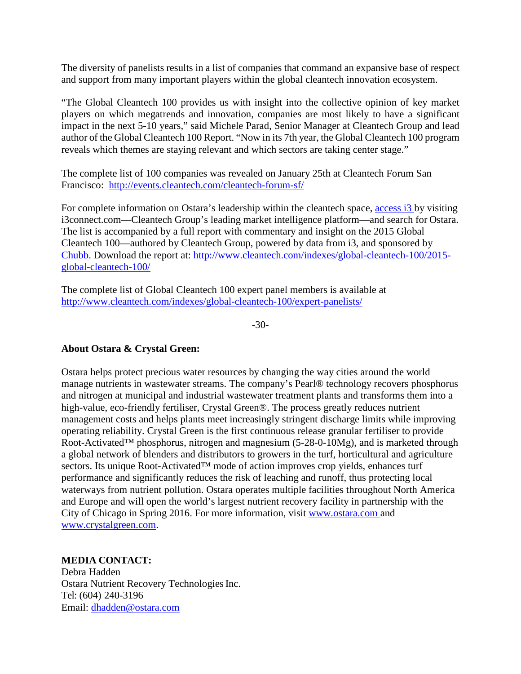The diversity of panelists results in a list of companies that command an expansive base of respect and support from many important players within the global cleantech innovation ecosystem.

"The Global Cleantech 100 provides us with insight into the collective opinion of key market players on which megatrends and innovation, companies are most likely to have a significant impact in the next 5-10 years," said Michele Parad, Senior Manager at Cleantech Group and lead author of the Global Cleantech 100 Report. "Now in its 7th year, the Global Cleantech 100 program reveals which themes are staying relevant and which sectors are taking center stage."

The complete list of 100 companies was revealed on January 25th at Cleantech Forum San Francisco: <http://events.cleantech.com/cleantech-forum-sf/>

For complete information on Ostara's leadership within the cleantech space, access i3 by visiting i3connect.com—Cleantech Group's leading market intelligence platform—and search for Ostara. The list is accompanied by a full report with commentary and insight on the 2015 Global Cleantech 100—authored by Cleantech Group, powered by data from i3, and sponsored by Chubb. Download the report at: [http://www.cleantech.com/indexes/global-cleantech-100/2015](http://www.cleantech.com/indexes/global-cleantech-100/2015-) global-cleantech-100/

The complete list of Global Cleantech 100 expert panel members is available at <http://www.cleantech.com/indexes/global-cleantech-100/expert-panelists/>

-30-

### **About Ostara & Crystal Green:**

Ostara helps protect precious water resources by changing the way cities around the world manage nutrients in wastewater streams. The company's Pearl® technology recovers phosphorus and nitrogen at municipal and industrial wastewater treatment plants and transforms them into a high-value, eco-friendly fertiliser, Crystal Green®. The process greatly reduces nutrient management costs and helps plants meet increasingly stringent discharge limits while improving operating reliability. Crystal Green is the first continuous release granular fertiliser to provide Root-Activated™ phosphorus, nitrogen and magnesium (5-28-0-10Mg), and is marketed through a global network of blenders and distributors to growers in the turf, horticultural and agriculture sectors. Its unique Root-Activated™ mode of action improves crop yields, enhances turf performance and significantly reduces the risk of leaching and runoff, thus protecting local waterways from nutrient pollution. Ostara operates multiple facilities throughout North America and Europe and will open the world's largest nutrient recovery facility in partnership with the City of Chicago in Spring 2016. For more information, visit [www.ostara.com a](http://www.ostara.com/)nd [www.crystalgreen.com.](http://www.crystalgreen.com/)

### **MEDIA CONTACT:**

Debra Hadden Ostara Nutrient Recovery Technologies Inc. Tel: (604) 240-3196 Email: [dhadden@ostara.com](mailto:dhadden@ostara.com)